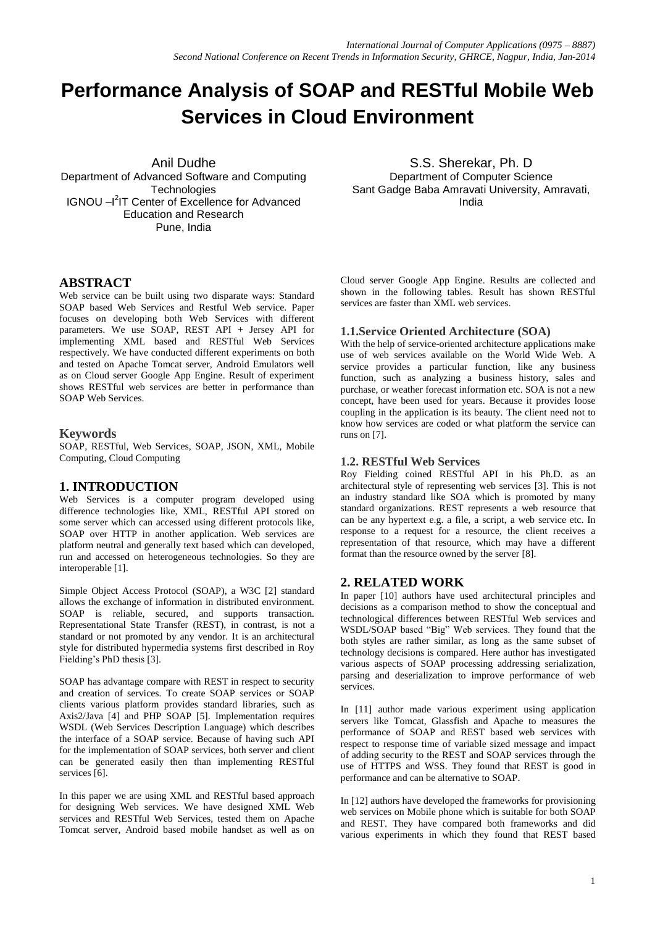# **Performance Analysis of SOAP and RESTful Mobile Web Services in Cloud Environment**

Anil Dudhe Department of Advanced Software and Computing **Technologies** IGNOU - <sup>2</sup>IT Center of Excellence for Advanced Education and Research Pune, India

S.S. Sherekar, Ph. D Department of Computer Science Sant Gadge Baba Amravati University, Amravati, India

## **ABSTRACT**

Web service can be built using two disparate ways: Standard SOAP based Web Services and Restful Web service. Paper focuses on developing both Web Services with different parameters. We use SOAP, REST API + Jersey API for implementing XML based and RESTful Web Services respectively. We have conducted different experiments on both and tested on Apache Tomcat server, Android Emulators well as on Cloud server Google App Engine. Result of experiment shows RESTful web services are better in performance than SOAP Web Services.

#### **Keywords**

SOAP, RESTful, Web Services, SOAP, JSON, XML, Mobile Computing, Cloud Computing

## **1. INTRODUCTION**

Web Services is a computer program developed using difference technologies like, XML, RESTful API stored on some server which can accessed using different protocols like, SOAP over HTTP in another application. Web services are platform neutral and generally text based which can developed, run and accessed on heterogeneous technologies. So they are interoperable [1].

Simple Object Access Protocol (SOAP), a W3C [2] standard allows the exchange of information in distributed environment. SOAP is reliable, secured, and supports transaction. Representational State Transfer (REST), in contrast, is not a standard or not promoted by any vendor. It is an architectural style for distributed hypermedia systems first described in Roy Fielding's PhD thesis [3].

SOAP has advantage compare with REST in respect to security and creation of services. To create SOAP services or SOAP clients various platform provides standard libraries, such as Axis2/Java [4] and PHP SOAP [5]. Implementation requires WSDL (Web Services Description Language) which describes the interface of a SOAP service. Because of having such API for the implementation of SOAP services, both server and client can be generated easily then than implementing RESTful services [6].

In this paper we are using XML and RESTful based approach for designing Web services. We have designed XML Web services and RESTful Web Services, tested them on Apache Tomcat server, Android based mobile handset as well as on

Cloud server Google App Engine. Results are collected and shown in the following tables. Result has shown RESTful services are faster than XML web services.

### **1.1.Service Oriented Architecture (SOA)**

With the help of service-oriented architecture applications make use of web services available on the World Wide Web. A service provides a particular function, like any business function, such as analyzing a business history, sales and purchase, or weather forecast information etc. SOA is not a new concept, have been used for years. Because it provides loose coupling in the application is its beauty. The client need not to know how services are coded or what platform the service can runs on [7].

#### **1.2. RESTful Web Services**

Roy Fielding coined RESTful API in his Ph.D. as an architectural style of representing web services [3]. This is not an industry standard like SOA which is promoted by many standard organizations. REST represents a web resource that can be any hypertext e.g. a file, a script, a web service etc. In response to a request for a resource, the client receives a representation of that resource, which may have a different format than the resource owned by the server [8].

## **2. RELATED WORK**

In paper [10] authors have used architectural principles and decisions as a comparison method to show the conceptual and technological differences between RESTful Web services and WSDL/SOAP based "Big" Web services. They found that the both styles are rather similar, as long as the same subset of technology decisions is compared. Here author has investigated various aspects of SOAP processing addressing serialization, parsing and deserialization to improve performance of web services.

In [11] author made various experiment using application servers like Tomcat, Glassfish and Apache to measures the performance of SOAP and REST based web services with respect to response time of variable sized message and impact of adding security to the REST and SOAP services through the use of HTTPS and WSS. They found that REST is good in performance and can be alternative to SOAP.

In [12] authors have developed the frameworks for provisioning web services on Mobile phone which is suitable for both SOAP and REST. They have compared both frameworks and did various experiments in which they found that REST based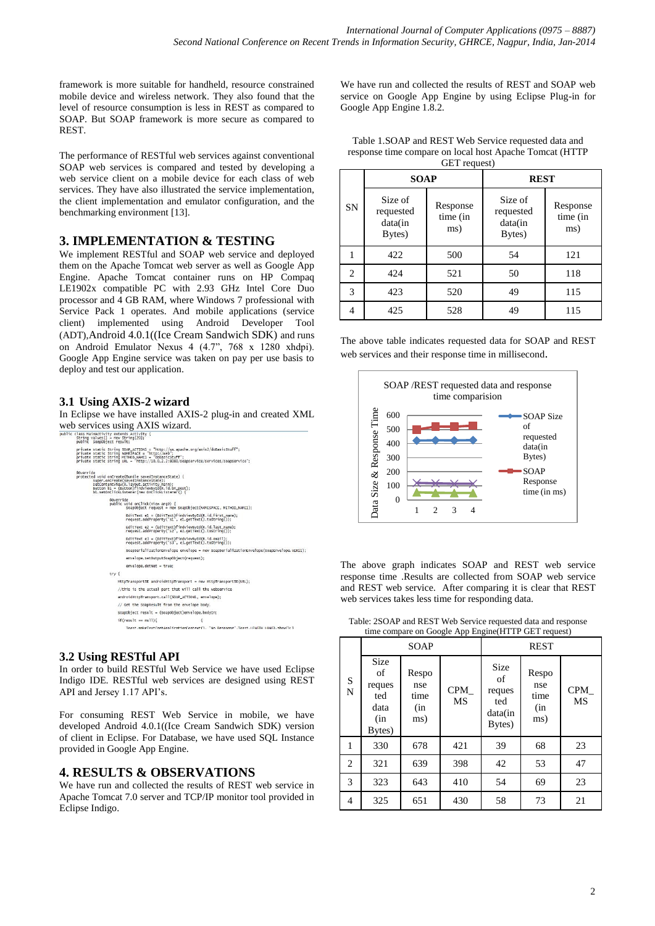framework is more suitable for handheld, resource constrained mobile device and wireless network. They also found that the level of resource consumption is less in REST as compared to SOAP. But SOAP framework is more secure as compared to REST.

The performance of RESTful web services against conventional SOAP web services is compared and tested by developing a web service client on a mobile device for each class of web services. They have also illustrated the service implementation, the client implementation and emulator configuration, and the benchmarking environment [13].

# **3. IMPLEMENTATION & TESTING**

We implement RESTful and SOAP web service and deployed them on the Apache Tomcat web server as well as Google App Engine. Apache Tomcat container runs on HP Compaq LE1902x compatible PC with 2.93 GHz Intel Core Duo processor and 4 GB RAM, where Windows 7 professional with Service Pack 1 operates. And mobile applications (service client) implemented using Android Developer Tool (ADT),Android 4.0.1((Ice Cream Sandwich SDK) and runs on Android Emulator Nexus 4 (4.7", 768 x 1280 xhdpi). Google App Engine service was taken on pay per use basis to deploy and test our application.

## **3.1 Using AXIS-2 wizard**

In Eclipse we have installed AXIS-2 plug-in and created XML



## **3.2 Using RESTful API**

In order to build RESTful Web Service we have used Eclipse Indigo IDE. RESTful web services are designed using REST API and Jersey 1.17 API's.

For consuming REST Web Service in mobile, we have developed Android 4.0.1((Ice Cream Sandwich SDK) version of client in Eclipse. For Database, we have used SQL Instance provided in Google App Engine.

# **4. RESULTS & OBSERVATIONS**

We have run and collected the results of REST web service in Apache Tomcat 7.0 server and TCP/IP monitor tool provided in Eclipse Indigo.

We have run and collected the results of REST and SOAP web service on Google App Engine by using Eclipse Plug-in for Google App Engine 1.8.2.

Table 1.SOAP and REST Web Service requested data and response time compare on local host Apache Tomcat (HTTP  $GET$  request)

|           | <b>SOAP</b>                               |                             | <b>REST</b>                               |                             |  |
|-----------|-------------------------------------------|-----------------------------|-------------------------------------------|-----------------------------|--|
| <b>SN</b> | Size of<br>requested<br>data(in<br>Bytes) | Response<br>time (in<br>ms) | Size of<br>requested<br>data(in<br>Bytes) | Response<br>time (in<br>ms) |  |
|           | 422                                       | 500                         | 54                                        | 121                         |  |
| 2         | 424                                       | 521                         | 50                                        | 118                         |  |
| 3         | 423                                       | 520                         | 49                                        | 115                         |  |
|           | 425                                       | 528                         | 49                                        | 115                         |  |

The above table indicates requested data for SOAP and REST web services and their response time in millisecond.



The above graph indicates SOAP and REST web service response time .Results are collected from SOAP web service and REST web service. After comparing it is clear that REST web services takes less time for responding data.

Table: 2SOAP and REST Web Service requested data and response time compare on Google App Engine(HTTP GET request)

|                | $\mu$ compare on Google <i>Typ Engine</i> (111 11 GET request)<br>SOAP |                                    |                  | <b>REST</b>                                             |                                     |                  |
|----------------|------------------------------------------------------------------------|------------------------------------|------------------|---------------------------------------------------------|-------------------------------------|------------------|
| S<br>N         | <b>Size</b><br>of<br>reques<br>ted<br>data<br>(in<br>Bytes)            | Respo<br>nse<br>time<br>(in<br>ms) | CPM<br><b>MS</b> | <b>Size</b><br>οf<br>reques<br>ted<br>data(in<br>Bytes) | Respo<br>nse<br>time<br>(in)<br>ms) | <b>CPM</b><br>MS |
| $\mathbf{1}$   | 330                                                                    | 678                                | 421              | 39                                                      | 68                                  | 23               |
| 2              | 321                                                                    | 639                                | 398              | 42                                                      | 53                                  | 47               |
| 3              | 323                                                                    | 643                                | 410              | 54                                                      | 69                                  | 23               |
| $\overline{4}$ | 325                                                                    | 651                                | 430              | 58                                                      | 73                                  | 21               |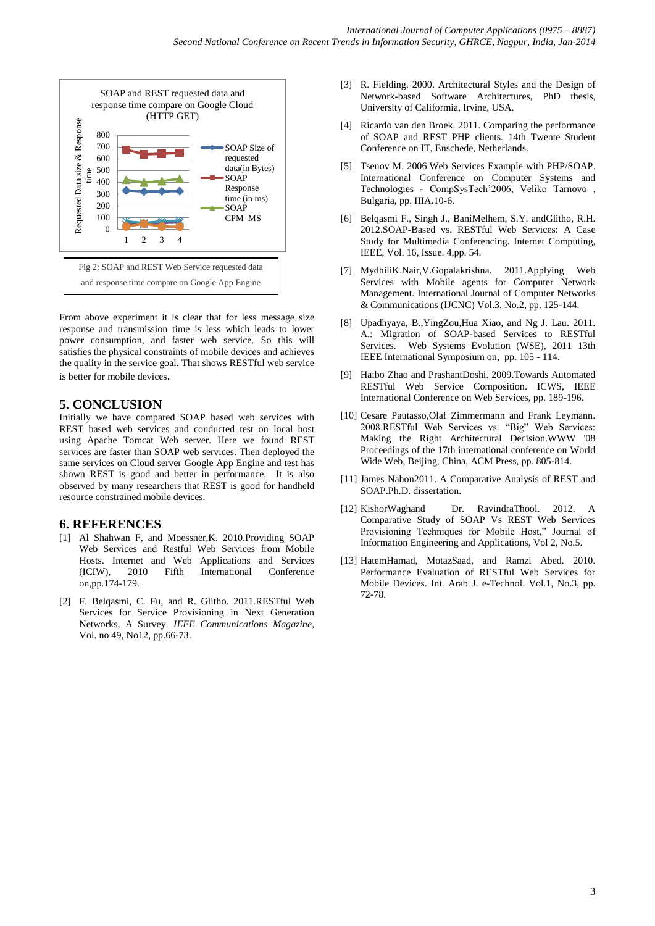

From above experiment it is clear that for less message size response and transmission time is less which leads to lower power consumption, and faster web service. So this will satisfies the physical constraints of mobile devices and achieves the quality in the service goal. That shows RESTful web service is better for mobile devices.

## **5. CONCLUSION**

Initially we have compared SOAP based web services with REST based web services and conducted test on local host using Apache Tomcat Web server. Here we found REST services are faster than SOAP web services. Then deployed the same services on Cloud server Google App Engine and test has shown REST is good and better in performance. It is also observed by many researchers that REST is good for handheld resource constrained mobile devices.

#### **6. REFERENCES**

- [1] Al Shahwan F, and Moessner,K. 2010.Providing SOAP Web Services and Restful Web Services from Mobile Hosts. Internet and Web Applications and Services (ICIW), 2010 Fifth International Conference  $(ICIW)$ , 2010 on,pp.174-179.
- [2] F. Belqasmi, C. Fu, and R. Glitho. 2011.RESTful Web Services for Service Provisioning in Next Generation Networks, A Survey. *IEEE Communications Magazine*, Vol. no 49, No12, pp.66-73.
- [3] R. Fielding. 2000. Architectural Styles and the Design of Network-based Software Architectures, PhD thesis, University of Califormia, Irvine, USA.
- [4] Ricardo van den Broek. 2011. Comparing the performance of SOAP and REST PHP clients. 14th Twente Student Conference on IT, Enschede, Netherlands.
- [5] Tsenov M. 2006.Web Services Example with PHP/SOAP. International Conference on Computer Systems and Technologies - CompSysTech'2006, Veliko Tarnovo , Bulgaria, pp. IIIA.10-6.
- [6] Belqasmi F., Singh J., BaniMelhem, S.Y. andGlitho, R.H. 2012.SOAP-Based vs. RESTful Web Services: A Case Study for Multimedia Conferencing. Internet Computing, IEEE, Vol. 16, Issue. 4,pp. 54.
- [7] MydhiliK.Nair,V.Gopalakrishna. 2011.Applying Web Services with Mobile agents for Computer Network Management. International Journal of Computer Networks & Communications (IJCNC) Vol.3, No.2, pp. 125-144.
- [8] Upadhyaya, B.,YingZou,Hua Xiao, and Ng J. Lau. 2011. A.: Migration of SOAP-based Services to RESTful Services. Web Systems Evolution (WSE), 2011 13th IEEE International Symposium on, pp. 105 - 114.
- [9] [Haibo Zhao](http://www.bibsonomy.org/author/Zhao) and [PrashantDoshi.](http://www.bibsonomy.org/author/Doshi) 2009[.Towards Automated](http://www.bibsonomy.org/bibtex/ea16058db1145cacd5a9070e92f143ae)  [RESTful Web Service Composition.](http://www.bibsonomy.org/bibtex/ea16058db1145cacd5a9070e92f143ae) ICWS, IEEE International Conference on Web Services, pp. 189-196.
- [10] Cesare Pautasso,Olaf Zimmermann and Frank Leymann. 2008.RESTful Web Services vs. "Big" Web Services: Making the Right Architectural Decision.WWW '08 Proceedings of the 17th international conference on World Wide Web, Beijing, China, ACM Press, pp. 805-814.
- [11] James Nahon2011. A Comparative Analysis of REST and SOAP.Ph.D. dissertation.
- [12] KishorWaghand Dr. RavindraThool. 2012. A Comparative Study of SOAP Vs REST Web Services Provisioning Techniques for Mobile Host," Journal of Information Engineering and Applications, Vol 2, No.5.
- [13] HatemHamad, MotazSaad, and Ramzi Abed. 2010. Performance Evaluation of RESTful Web Services for Mobile Devices. Int. Arab J. e-Technol. Vol.1, No.3, pp. 72-78.